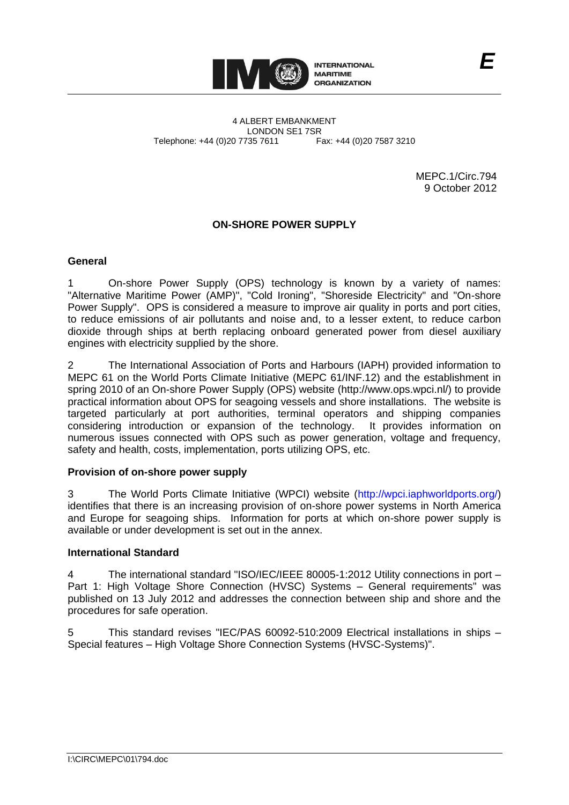

4 ALBERT EMBANKMENT LONDON SE1 7SR<br>735 7611 Fax: +44 (0)20 7587 3210 Telephone: +44 (0)20 7735 7611

> MEPC.1/Circ.794 9 October 2012

# **ON-SHORE POWER SUPPLY**

### **General**

1 On-shore Power Supply (OPS) technology is known by a variety of names: "Alternative Maritime Power (AMP)", "Cold Ironing", "Shoreside Electricity" and "On-shore Power Supply". OPS is considered a measure to improve air quality in ports and port cities, to reduce emissions of air pollutants and noise and, to a lesser extent, to reduce carbon dioxide through ships at berth replacing onboard generated power from diesel auxiliary engines with electricity supplied by the shore.

2 The International Association of Ports and Harbours (IAPH) provided information to MEPC 61 on the World Ports Climate Initiative (MEPC 61/INF.12) and the establishment in spring 2010 of an On-shore Power Supply (OPS) website (http://www.ops.wpci.nl/) to provide practical information about OPS for seagoing vessels and shore installations. The website is targeted particularly at port authorities, terminal operators and shipping companies considering introduction or expansion of the technology. It provides information on numerous issues connected with OPS such as power generation, voltage and frequency, safety and health, costs, implementation, ports utilizing OPS, etc.

### **Provision of on-shore power supply**

3 The World Ports Climate Initiative (WPCI) website [\(http://wpci.iaphworldports.org/\)](http://wpci.iaphworldports.org/) identifies that there is an increasing provision of on-shore power systems in North America and Europe for seagoing ships. Information for ports at which on-shore power supply is available or under development is set out in the annex.

### **International Standard**

4 The international standard "ISO/IEC/IEEE 80005-1:2012 Utility connections in port – Part 1: High Voltage Shore Connection (HVSC) Systems – General requirements" was published on 13 July 2012 and addresses the connection between ship and shore and the procedures for safe operation.

This standard revises "IEC/PAS 60092-510:2009 Electrical installations in ships – Special features – High Voltage Shore Connection Systems (HVSC-Systems)".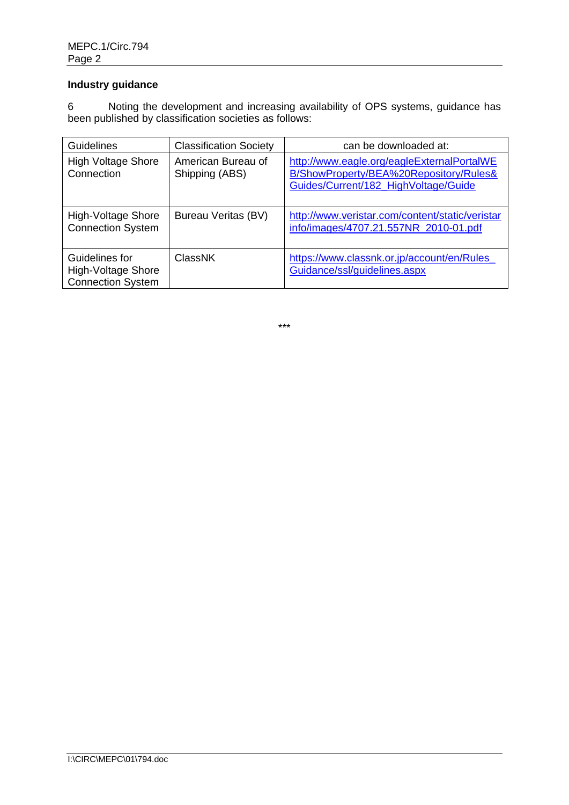# **Industry guidance**

6 Noting the development and increasing availability of OPS systems, guidance has been published by classification societies as follows:

| Guidelines                                                       | <b>Classification Society</b>        | can be downloaded at:                                                                                                        |
|------------------------------------------------------------------|--------------------------------------|------------------------------------------------------------------------------------------------------------------------------|
| <b>High Voltage Shore</b><br>Connection                          | American Bureau of<br>Shipping (ABS) | http://www.eagle.org/eagleExternalPortalWE<br>B/ShowProperty/BEA%20Repository/Rules&<br>Guides/Current/182 HighVoltage/Guide |
| High-Voltage Shore<br><b>Connection System</b>                   | <b>Bureau Veritas (BV)</b>           | http://www.veristar.com/content/static/veristar<br>info/images/4707.21.557NR 2010-01.pdf                                     |
| Guidelines for<br>High-Voltage Shore<br><b>Connection System</b> | <b>ClassNK</b>                       | https://www.classnk.or.jp/account/en/Rules_<br>Guidance/ssl/guidelines.aspx                                                  |

\*\*\*